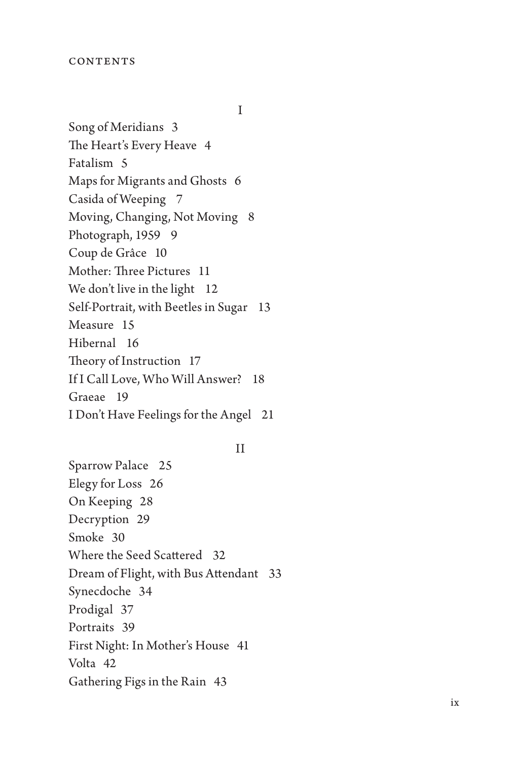I

Song of Meridians 3 The Heart's Every Heave 4 Fatalism 5 Maps for Migrants and Ghosts 6 Casida of Weeping 7 Moving, Changing, Not Moving 8 Photograph, 1959 9 Coup de Grâce 10 Mother: Three Pictures 11 We don't live in the light 12 Self-Portrait, with Beetles in Sugar 13 Measure 15 Hibernal 16 Theory of Instruction 17 If I Call Love, Who Will Answer? 18 Graeae 19 I Don't Have Feelings for the Angel 21

II

Sparrow Palace 25 Elegy for Loss 26 On Keeping 28 Decryption 29 Smoke 30 Where the Seed Scattered 32 Dream of Flight, with Bus Attendant 33 Synecdoche 34 Prodigal 37 Portraits 39 First Night: In Mother's House 41 Volta 42 Gathering Figs in the Rain 43